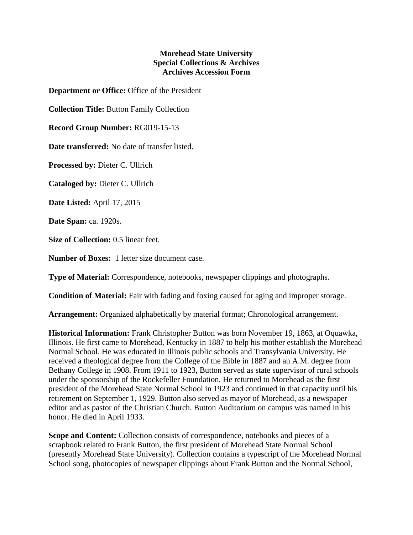## **Morehead State University Special Collections & Archives Archives Accession Form**

**Department or Office:** Office of the President

**Collection Title:** Button Family Collection

**Record Group Number:** RG019-15-13

**Date transferred:** No date of transfer listed.

**Processed by:** Dieter C. Ullrich

**Cataloged by:** Dieter C. Ullrich

**Date Listed:** April 17, 2015

**Date Span:** ca. 1920s.

**Size of Collection:** 0.5 linear feet.

**Number of Boxes:** 1 letter size document case.

**Type of Material:** Correspondence, notebooks, newspaper clippings and photographs.

**Condition of Material:** Fair with fading and foxing caused for aging and improper storage.

**Arrangement:** Organized alphabetically by material format; Chronological arrangement.

**Historical Information:** Frank Christopher Button was born November 19, 1863, at Oquawka, Illinois. He first came to Morehead, Kentucky in 1887 to help his mother establish the Morehead Normal School. He was educated in Illinois public schools and Transylvania University. He received a theological degree from the College of the Bible in 1887 and an A.M. degree from Bethany College in 1908. From 1911 to 1923, Button served as state supervisor of rural schools under the sponsorship of the Rockefeller Foundation. He returned to Morehead as the first president of the Morehead State Normal School in 1923 and continued in that capacity until his retirement on September 1, 1929. Button also served as mayor of Morehead, as a newspaper editor and as pastor of the Christian Church. Button Auditorium on campus was named in his honor. He died in April 1933.

**Scope and Content:** Collection consists of correspondence, notebooks and pieces of a scrapbook related to Frank Button, the first president of Morehead State Normal School (presently Morehead State University). Collection contains a typescript of the Morehead Normal School song, photocopies of newspaper clippings about Frank Button and the Normal School,